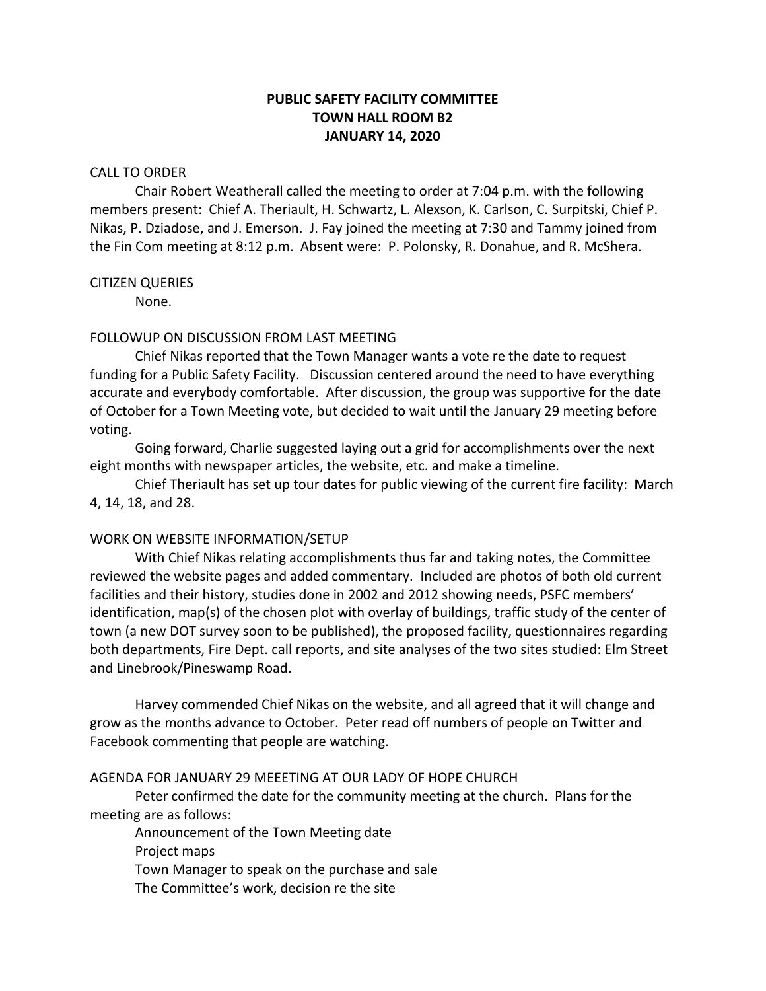# **PUBLIC SAFETY FACILITY COMMITTEE TOWN HALL ROOM B2 JANUARY 14, 2020**

#### CALL TO ORDER

Chair Robert Weatherall called the meeting to order at 7:04 p.m. with the following members present: Chief A. Theriault, H. Schwartz, L. Alexson, K. Carlson, C. Surpitski, Chief P. Nikas, P. Dziadose, and J. Emerson. J. Fay joined the meeting at 7:30 and Tammy joined from the Fin Com meeting at 8:12 p.m. Absent were: P. Polonsky, R. Donahue, and R. McShera.

#### CITIZEN QUERIES

None.

### FOLLOWUP ON DISCUSSION FROM LAST MEETING

Chief Nikas reported that the Town Manager wants a vote re the date to request funding for a Public Safety Facility. Discussion centered around the need to have everything accurate and everybody comfortable. After discussion, the group was supportive for the date of October for a Town Meeting vote, but decided to wait until the January 29 meeting before voting.

Going forward, Charlie suggested laying out a grid for accomplishments over the next eight months with newspaper articles, the website, etc. and make a timeline.

Chief Theriault has set up tour dates for public viewing of the current fire facility: March 4, 14, 18, and 28.

### WORK ON WEBSITE INFORMATION/SETUP

With Chief Nikas relating accomplishments thus far and taking notes, the Committee reviewed the website pages and added commentary. Included are photos of both old current facilities and their history, studies done in 2002 and 2012 showing needs, PSFC members' identification, map(s) of the chosen plot with overlay of buildings, traffic study of the center of town (a new DOT survey soon to be published), the proposed facility, questionnaires regarding both departments, Fire Dept. call reports, and site analyses of the two sites studied: Elm Street and Linebrook/Pineswamp Road.

Harvey commended Chief Nikas on the website, and all agreed that it will change and grow as the months advance to October. Peter read off numbers of people on Twitter and Facebook commenting that people are watching.

# AGENDA FOR JANUARY 29 MEEETING AT OUR LADY OF HOPE CHURCH

Peter confirmed the date for the community meeting at the church. Plans for the meeting are as follows:

Announcement of the Town Meeting date Project maps Town Manager to speak on the purchase and sale The Committee's work, decision re the site